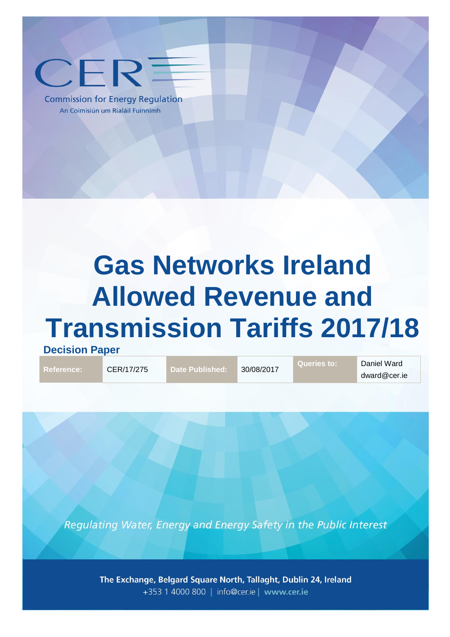

**Commission for Energy Regulation** An Coimisiún um Rialáil Fuinnimh

# **Gas Networks Ireland Allowed Revenue and Transmission Tariffs 2017/18**

**Decision Paper**

**Reference:** CER/17/275 **Date Published:** 30/08/2017

**Queries to:** Daniel Ward dward@cer.ie

Regulating Water, Energy and Energy Safety in the Public Interest

The Exchange, Belgard Square North, Tallaght, Dublin 24, Ireland +353 1 4000 800 | info@cer.ie | www.cer.ie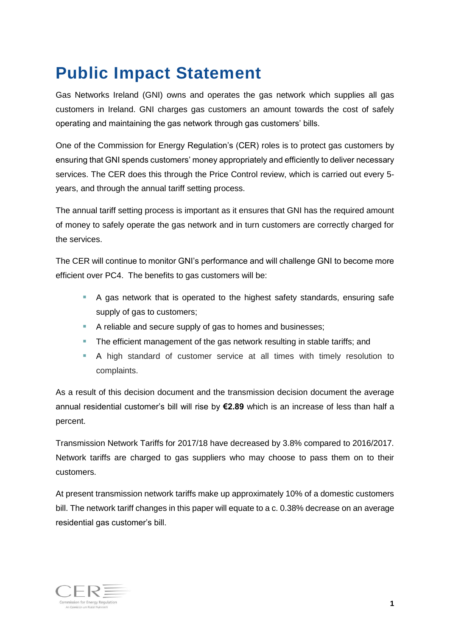## <span id="page-1-0"></span>**Public Impact Statement**

Gas Networks Ireland (GNI) owns and operates the gas network which supplies all gas customers in Ireland. GNI charges gas customers an amount towards the cost of safely operating and maintaining the gas network through gas customers' bills.

One of the Commission for Energy Regulation's (CER) roles is to protect gas customers by ensuring that GNI spends customers' money appropriately and efficiently to deliver necessary services. The CER does this through the Price Control review, which is carried out every 5 years, and through the annual tariff setting process.

The annual tariff setting process is important as it ensures that GNI has the required amount of money to safely operate the gas network and in turn customers are correctly charged for the services.

The CER will continue to monitor GNI's performance and will challenge GNI to become more efficient over PC4. The benefits to gas customers will be:

- A gas network that is operated to the highest safety standards, ensuring safe supply of gas to customers;
- A reliable and secure supply of gas to homes and businesses;
- The efficient management of the gas network resulting in stable tariffs; and
- A high standard of customer service at all times with timely resolution to complaints.

As a result of this decision document and the transmission decision document the average annual residential customer's bill will rise by **€2.89** which is an increase of less than half a percent.

Transmission Network Tariffs for 2017/18 have decreased by 3.8% compared to 2016/2017. Network tariffs are charged to gas suppliers who may choose to pass them on to their customers.

At present transmission network tariffs make up approximately 10% of a domestic customers bill. The network tariff changes in this paper will equate to a c. 0.38% decrease on an average residential gas customer's bill.

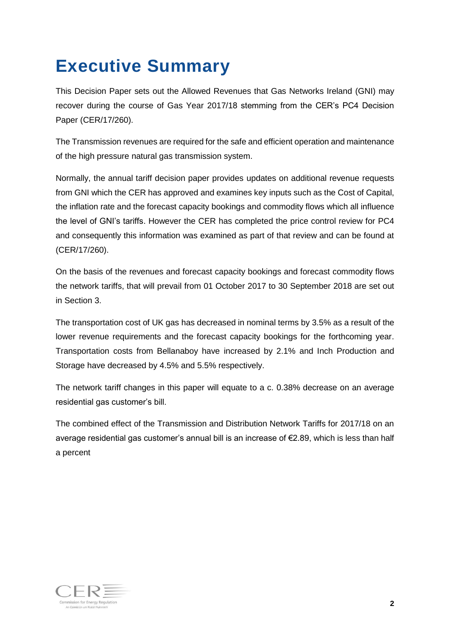## **Executive Summary**

This Decision Paper sets out the Allowed Revenues that Gas Networks Ireland (GNI) may recover during the course of Gas Year 2017/18 stemming from the CER's PC4 Decision Paper (CER/17/260).

The Transmission revenues are required for the safe and efficient operation and maintenance of the high pressure natural gas transmission system.

Normally, the annual tariff decision paper provides updates on additional revenue requests from GNI which the CER has approved and examines key inputs such as the Cost of Capital, the inflation rate and the forecast capacity bookings and commodity flows which all influence the level of GNI's tariffs. However the CER has completed the price control review for PC4 and consequently this information was examined as part of that review and can be found at (CER/17/260).

On the basis of the revenues and forecast capacity bookings and forecast commodity flows the network tariffs, that will prevail from 01 October 2017 to 30 September 2018 are set out in Section [3.](#page-8-0)

The transportation cost of UK gas has decreased in nominal terms by 3.5% as a result of the lower revenue requirements and the forecast capacity bookings for the forthcoming year. Transportation costs from Bellanaboy have increased by 2.1% and Inch Production and Storage have decreased by 4.5% and 5.5% respectively.

The network tariff changes in this paper will equate to a c. 0.38% decrease on an average residential gas customer's bill.

The combined effect of the Transmission and Distribution Network Tariffs for 2017/18 on an average residential gas customer's annual bill is an increase of €2.89, which is less than half a percent

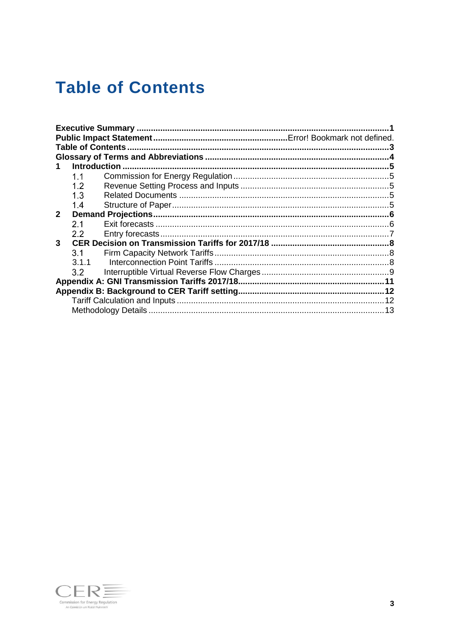## <span id="page-3-0"></span>**Table of Contents**

|              | <b>Introduction</b> |  |
|--------------|---------------------|--|
|              | 1.1                 |  |
|              | 1.2                 |  |
|              | 1.3                 |  |
|              | 1.4                 |  |
| $\mathbf{2}$ |                     |  |
|              | 2.1                 |  |
|              | 2.2                 |  |
| 3            |                     |  |
|              | 3.1                 |  |
|              | 3.1.1               |  |
|              | 3.2                 |  |
|              |                     |  |
|              |                     |  |
|              |                     |  |
|              |                     |  |

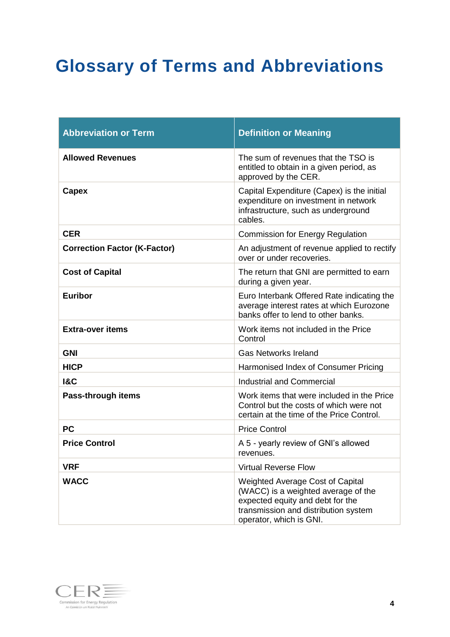## <span id="page-4-0"></span>**Glossary of Terms and Abbreviations**

| <b>Abbreviation or Term</b>         | <b>Definition or Meaning</b>                                                                                                                                                          |
|-------------------------------------|---------------------------------------------------------------------------------------------------------------------------------------------------------------------------------------|
| <b>Allowed Revenues</b>             | The sum of revenues that the TSO is<br>entitled to obtain in a given period, as<br>approved by the CER.                                                                               |
| <b>Capex</b>                        | Capital Expenditure (Capex) is the initial<br>expenditure on investment in network<br>infrastructure, such as underground<br>cables.                                                  |
| <b>CER</b>                          | <b>Commission for Energy Regulation</b>                                                                                                                                               |
| <b>Correction Factor (K-Factor)</b> | An adjustment of revenue applied to rectify<br>over or under recoveries.                                                                                                              |
| <b>Cost of Capital</b>              | The return that GNI are permitted to earn<br>during a given year.                                                                                                                     |
| <b>Euribor</b>                      | Euro Interbank Offered Rate indicating the<br>average interest rates at which Eurozone<br>banks offer to lend to other banks.                                                         |
| <b>Extra-over items</b>             | Work items not included in the Price<br>Control                                                                                                                                       |
| <b>GNI</b>                          | <b>Gas Networks Ireland</b>                                                                                                                                                           |
| <b>HICP</b>                         | Harmonised Index of Consumer Pricing                                                                                                                                                  |
| <b>1&amp;C</b>                      | <b>Industrial and Commercial</b>                                                                                                                                                      |
| Pass-through items                  | Work items that were included in the Price<br>Control but the costs of which were not<br>certain at the time of the Price Control.                                                    |
| <b>PC</b>                           | <b>Price Control</b>                                                                                                                                                                  |
| <b>Price Control</b>                | A 5 - yearly review of GNI's allowed<br>revenues.                                                                                                                                     |
| <b>VRF</b>                          | <b>Virtual Reverse Flow</b>                                                                                                                                                           |
| <b>WACC</b>                         | <b>Weighted Average Cost of Capital</b><br>(WACC) is a weighted average of the<br>expected equity and debt for the<br>transmission and distribution system<br>operator, which is GNI. |

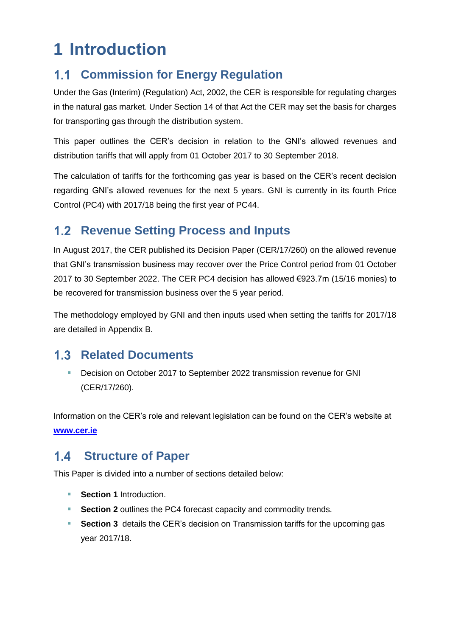## <span id="page-5-0"></span>**1 Introduction**

#### <span id="page-5-1"></span>**Commission for Energy Regulation**  $1.1$

Under the Gas (Interim) (Regulation) Act, 2002, the CER is responsible for regulating charges in the natural gas market. Under Section 14 of that Act the CER may set the basis for charges for transporting gas through the distribution system.

This paper outlines the CER's decision in relation to the GNI's allowed revenues and distribution tariffs that will apply from 01 October 2017 to 30 September 2018.

The calculation of tariffs for the forthcoming gas year is based on the CER's recent decision regarding GNI's allowed revenues for the next 5 years. GNI is currently in its fourth Price Control (PC4) with 2017/18 being the first year of PC44.

### <span id="page-5-2"></span>**1.2 Revenue Setting Process and Inputs**

In August 2017, the CER published its Decision Paper (CER/17/260) on the allowed revenue that GNI's transmission business may recover over the Price Control period from 01 October 2017 to 30 September 2022. The CER PC4 decision has allowed €923.7m (15/16 monies) to be recovered for transmission business over the 5 year period.

The methodology employed by GNI and then inputs used when setting the tariffs for 2017/18 are detailed in Appendix B.

### <span id="page-5-3"></span>**1.3 Related Documents**

**Decision on October 2017 to September 2022 transmission revenue for GNI** (CER/17/260).

Information on the CER's role and relevant legislation can be found on the CER's website at **[www.cer.ie](http://www.cer.ie/)**

#### <span id="page-5-4"></span> $1.4$ **Structure of Paper**

This Paper is divided into a number of sections detailed below:

- **Section [1](#page-5-0)** Introduction.
- **Section [2](#page-6-0)** outlines the PC4 forecast capacity and commodity trends.
- **Section [3](#page-8-0)** details the CER's decision on Transmission tariffs for the upcoming gas year 2017/18.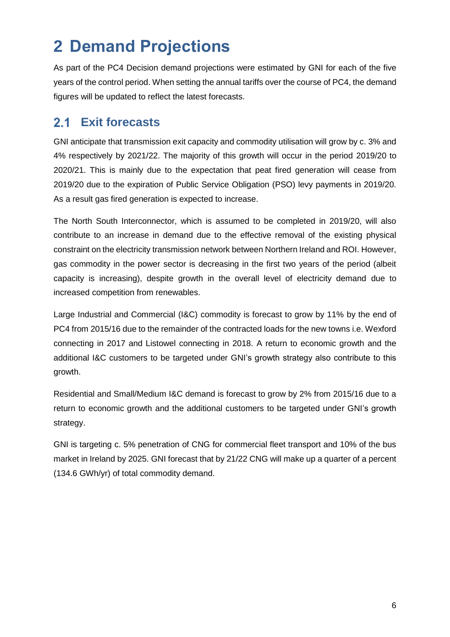## <span id="page-6-0"></span>**2 Demand Projections**

As part of the PC4 Decision demand projections were estimated by GNI for each of the five years of the control period. When setting the annual tariffs over the course of PC4, the demand figures will be updated to reflect the latest forecasts.

#### <span id="page-6-1"></span> $2.1$ **Exit forecasts**

GNI anticipate that transmission exit capacity and commodity utilisation will grow by c. 3% and 4% respectively by 2021/22. The majority of this growth will occur in the period 2019/20 to 2020/21. This is mainly due to the expectation that peat fired generation will cease from 2019/20 due to the expiration of Public Service Obligation (PSO) levy payments in 2019/20. As a result gas fired generation is expected to increase.

The North South Interconnector, which is assumed to be completed in 2019/20, will also contribute to an increase in demand due to the effective removal of the existing physical constraint on the electricity transmission network between Northern Ireland and ROI. However, gas commodity in the power sector is decreasing in the first two years of the period (albeit capacity is increasing), despite growth in the overall level of electricity demand due to increased competition from renewables.

Large Industrial and Commercial (I&C) commodity is forecast to grow by 11% by the end of PC4 from 2015/16 due to the remainder of the contracted loads for the new towns i.e. Wexford connecting in 2017 and Listowel connecting in 2018. A return to economic growth and the additional I&C customers to be targeted under GNI's growth strategy also contribute to this growth.

Residential and Small/Medium I&C demand is forecast to grow by 2% from 2015/16 due to a return to economic growth and the additional customers to be targeted under GNI's growth strategy.

GNI is targeting c. 5% penetration of CNG for commercial fleet transport and 10% of the bus market in Ireland by 2025. GNI forecast that by 21/22 CNG will make up a quarter of a percent (134.6 GWh/yr) of total commodity demand.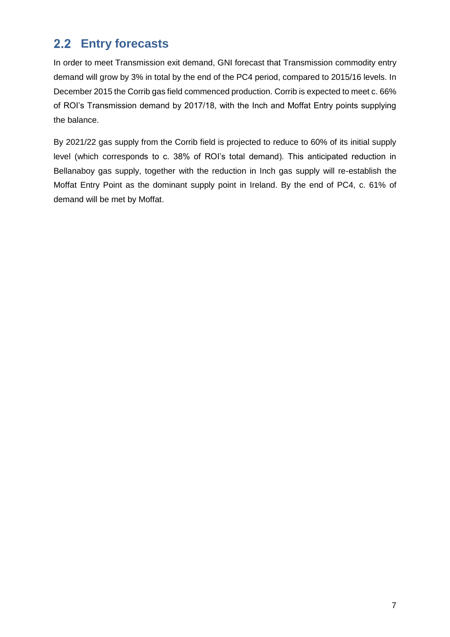### <span id="page-7-0"></span>**Entry forecasts**

In order to meet Transmission exit demand, GNI forecast that Transmission commodity entry demand will grow by 3% in total by the end of the PC4 period, compared to 2015/16 levels. In December 2015 the Corrib gas field commenced production. Corrib is expected to meet c. 66% of ROI's Transmission demand by 2017/18, with the Inch and Moffat Entry points supplying the balance.

By 2021/22 gas supply from the Corrib field is projected to reduce to 60% of its initial supply level (which corresponds to c. 38% of ROI's total demand). This anticipated reduction in Bellanaboy gas supply, together with the reduction in Inch gas supply will re-establish the Moffat Entry Point as the dominant supply point in Ireland. By the end of PC4, c. 61% of demand will be met by Moffat.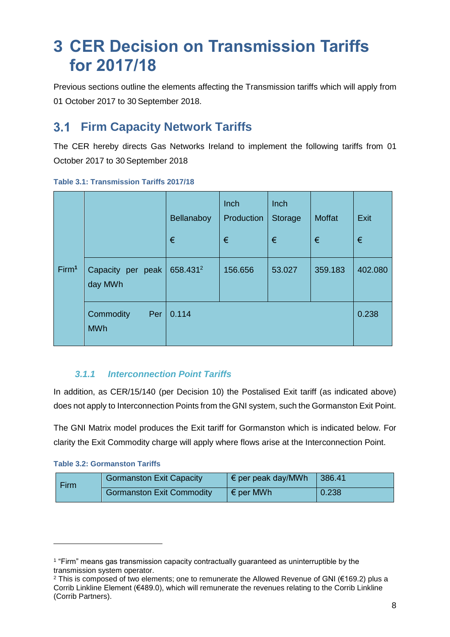## <span id="page-8-0"></span>**3 CER Decision on Transmission Tariffs for 2017/18**

Previous sections outline the elements affecting the Transmission tariffs which will apply from 01 October 2017 to 30 September 2018.

#### <span id="page-8-1"></span>**Firm Capacity Network Tariffs**   $3.1$

The CER hereby directs Gas Networks Ireland to implement the following tariffs from 01 October 2017 to 30 September 2018

|                   |                                | Bellanaboy<br>€ | Inch<br>Production<br>€ | Inch<br><b>Storage</b><br>€ | <b>Moffat</b><br>€ | Exit<br>€ |
|-------------------|--------------------------------|-----------------|-------------------------|-----------------------------|--------------------|-----------|
| Firm <sup>1</sup> | Capacity per peak<br>day MWh   | 658.4312        | 156.656                 | 53.027                      | 359.183            | 402.080   |
|                   | Commodity<br>Per<br><b>MWh</b> | 0.114           |                         |                             |                    | 0.238     |

#### **Table 3.1: Transmission Tariffs 2017/18**

### *3.1.1 Interconnection Point Tariffs*

<span id="page-8-2"></span>In addition, as CER/15/140 (per Decision 10) the Postalised Exit tariff (as indicated above) does not apply to Interconnection Points from the GNI system, such the Gormanston Exit Point.

The GNI Matrix model produces the Exit tariff for Gormanston which is indicated below. For clarity the Exit Commodity charge will apply where flows arise at the Interconnection Point.

| <b>Firm</b> | <b>Gormanston Exit Capacity</b>  | $\mathsf{I} \in \mathsf{per}$ per peak day/MWh | 386.41 |
|-------------|----------------------------------|------------------------------------------------|--------|
|             | <b>Gormanston Exit Commodity</b> | $\epsilon$ per MWh                             | 0.238  |

<sup>1</sup> "Firm" means gas transmission capacity contractually guaranteed as uninterruptible by the transmission system operator.

<sup>2</sup> This is composed of two elements; one to remunerate the Allowed Revenue of GNI (€169.2) plus a Corrib Linkline Element (€489.0), which will remunerate the revenues relating to the Corrib Linkline (Corrib Partners).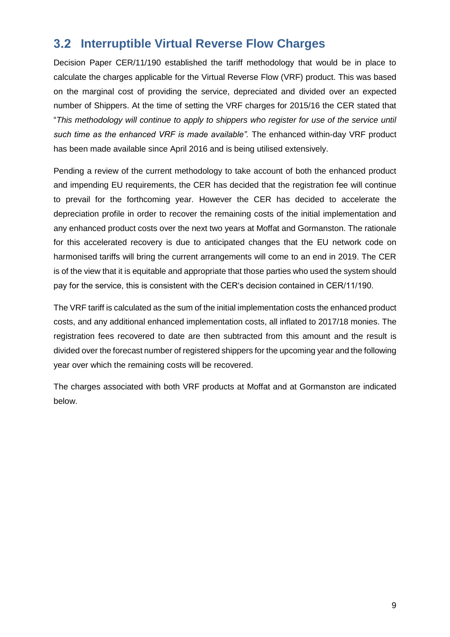### <span id="page-9-0"></span>**Interruptible Virtual Reverse Flow Charges**

Decision Paper CER/11/190 established the tariff methodology that would be in place to calculate the charges applicable for the Virtual Reverse Flow (VRF) product. This was based on the marginal cost of providing the service, depreciated and divided over an expected number of Shippers. At the time of setting the VRF charges for 2015/16 the CER stated that "*This methodology will continue to apply to shippers who register for use of the service until such time as the enhanced VRF is made available".* The enhanced within-day VRF product has been made available since April 2016 and is being utilised extensively.

Pending a review of the current methodology to take account of both the enhanced product and impending EU requirements, the CER has decided that the registration fee will continue to prevail for the forthcoming year. However the CER has decided to accelerate the depreciation profile in order to recover the remaining costs of the initial implementation and any enhanced product costs over the next two years at Moffat and Gormanston. The rationale for this accelerated recovery is due to anticipated changes that the EU network code on harmonised tariffs will bring the current arrangements will come to an end in 2019. The CER is of the view that it is equitable and appropriate that those parties who used the system should pay for the service, this is consistent with the CER's decision contained in CER/11/190.

The VRF tariff is calculated as the sum of the initial implementation costs the enhanced product costs, and any additional enhanced implementation costs, all inflated to 2017/18 monies. The registration fees recovered to date are then subtracted from this amount and the result is divided over the forecast number of registered shippers for the upcoming year and the following year over which the remaining costs will be recovered.

The charges associated with both VRF products at Moffat and at Gormanston are indicated below.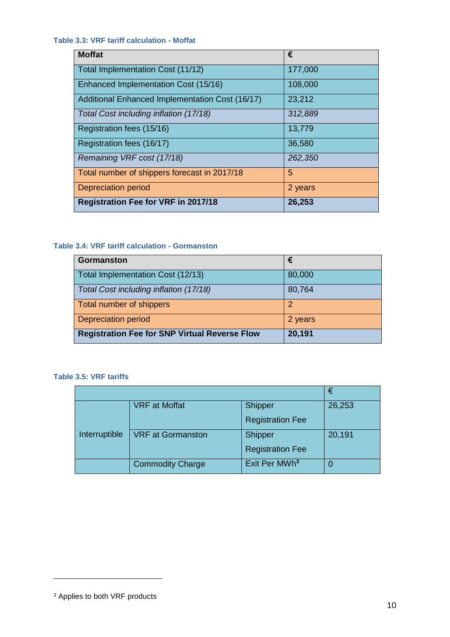**Table 3.3: VRF tariff calculation - Moffat**

| <b>Moffat</b>                                   | €       |
|-------------------------------------------------|---------|
| Total Implementation Cost (11/12)               | 177,000 |
| Enhanced Implementation Cost (15/16)            | 108,000 |
| Additional Enhanced Implementation Cost (16/17) | 23,212  |
| Total Cost including inflation (17/18)          | 312,889 |
| Registration fees (15/16)                       | 13,779  |
| Registration fees (16/17)                       | 36,580  |
| Remaining VRF cost (17/18)                      | 262,350 |
| Total number of shippers forecast in 2017/18    | 5       |
| Depreciation period                             | 2 years |
| <b>Registration Fee for VRF in 2017/18</b>      | 26,253  |

#### **Table 3.4: VRF tariff calculation - Gormanston**

| <b>Gormanston</b>                                    | €       |
|------------------------------------------------------|---------|
| Total Implementation Cost (12/13)                    | 80,000  |
| Total Cost including inflation (17/18)               | 80,764  |
| Total number of shippers                             |         |
| <b>Depreciation period</b>                           | 2 years |
| <b>Registration Fee for SNP Virtual Reverse Flow</b> | 20,191  |

#### **Table 3.5: VRF tariffs**

|               |                          |                           | €      |
|---------------|--------------------------|---------------------------|--------|
|               | <b>VRF</b> at Moffat     | Shipper                   | 26,253 |
|               |                          | <b>Registration Fee</b>   |        |
| Interruptible | <b>VRF at Gormanston</b> | Shipper                   | 20,191 |
|               |                          | <b>Registration Fee</b>   |        |
|               | <b>Commodity Charge</b>  | Exit Per MWh <sup>3</sup> |        |

<sup>&</sup>lt;sup>3</sup> Applies to both VRF products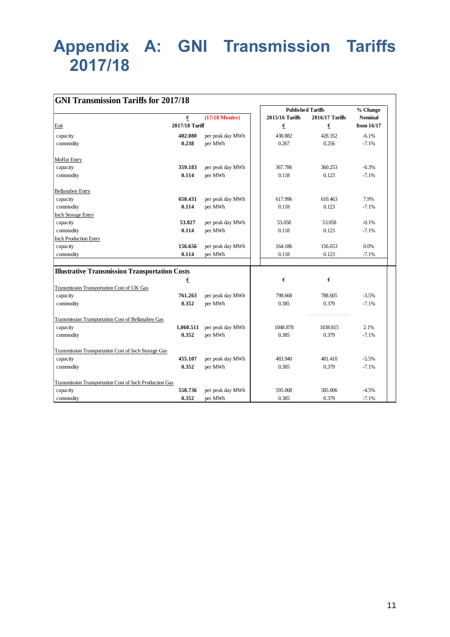## <span id="page-11-0"></span>**Appendix A: GNI Transmission Tariffs 2017/18**

| <b>GNI Transmission Tariffs for 2017/18</b>             |                |                  |                          |                  |                |
|---------------------------------------------------------|----------------|------------------|--------------------------|------------------|----------------|
|                                                         |                |                  | <b>Published Tariffs</b> |                  | % Change       |
|                                                         | €              | $(17/18$ Monies) | 2015/16 Tariffs          | 2016/17 Tariffs  | <b>Nominal</b> |
| Exit                                                    | 2017/18 Tariff |                  | €                        | $\pmb{\epsilon}$ | from 16/17     |
| capacity                                                | 402.080        | per peak day MWh | 430.882                  | 428.352          | $-6.1%$        |
| commodity                                               | 0.238          | per MWh          | 0.267                    | 0.256            | $-7.1%$        |
| Moffat Entry                                            |                |                  |                          |                  |                |
| capacity                                                | 359.183        | per peak day MWh | 367.786                  | 360.253          | $-0.3%$        |
| commodity                                               | 0.114          | per MWh          | 0.118                    | 0.123            | $-7.1%$        |
| <b>Bellanaboy Entry</b>                                 |                |                  |                          |                  |                |
| capacity                                                | 658.431        | per peak day MWh | 617.996                  | 610.463          | 7.9%           |
| commodity                                               | 0.114          | per MWh          | 0.118                    | 0.123            | $-7.1%$        |
| <b>Inch Storage Entry</b>                               |                |                  |                          |                  |                |
| capacity                                                | 53.027         | per peak day MWh | 53.058                   | 53.058           | $-0.1%$        |
| commodity                                               | 0.114          | per MWh          | 0.118                    | 0.123            | $-7.1%$        |
| <b>Inch Production Entry</b>                            |                |                  |                          |                  |                |
| capacity                                                | 156.656        | per peak day MWh | 164.186                  | 156.653          | 0.0%           |
| commodity                                               | 0.114          | per MWh          | 0.118                    | 0.123            | $-7.1%$        |
|                                                         |                |                  |                          |                  |                |
| <b>Illustrative Transmission Transportation Costs</b>   |                |                  |                          |                  |                |
|                                                         | €              |                  | €                        | €                |                |
| Transmission Transportation Cost of UK Gas              |                |                  |                          |                  |                |
| capacity                                                | 761.263        | per peak day MWh | 798.668                  | 788.605          | $-3.5%$        |
| commodity                                               | 0.352          | per MWh          | 0.385                    | 0.379            | $-7.1%$        |
| Transmission Transportation Cost of Bellanaboy Gas      |                |                  |                          |                  |                |
| capacity                                                | 1,060.511      | per peak day MWh | 1048.878                 | 1038.815         | 2.1%           |
| commodity                                               | 0.352          | per MWh          | 0.385                    | 0.379            | $-7.1%$        |
| Transmission Transportation Cost of Inch Storage Gas    |                |                  |                          |                  |                |
| capacity                                                | 455.107        | per peak day MWh | 483.940                  | 481.410          | $-5.5%$        |
| commodity                                               | 0.352          | per MWh          | 0.385                    | 0.379            | $-7.1%$        |
| Transmission Transportation Cost of Inch Production Gas |                |                  |                          |                  |                |
| capacity                                                | 558.736        | per peak day MWh | 595.068                  | 585.006          | $-4.5%$        |
| commodity                                               | 0.352          | per MWh          | 0.385                    | 0.379            | $-7.1%$        |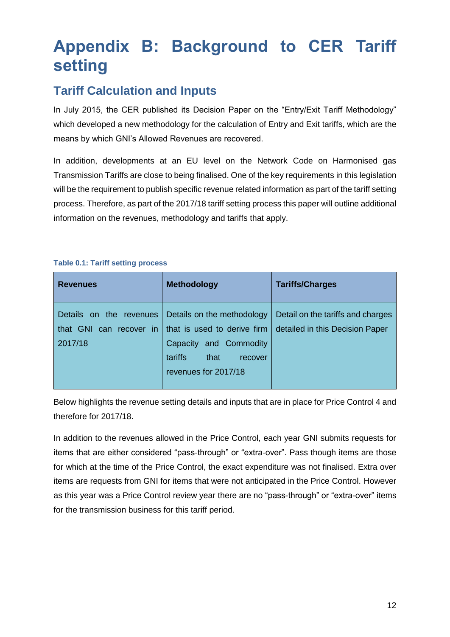## <span id="page-12-0"></span>**Appendix B: Background to CER Tariff setting**

### <span id="page-12-1"></span>**Tariff Calculation and Inputs**

In July 2015, the CER published its Decision Paper on the "Entry/Exit Tariff Methodology" which developed a new methodology for the calculation of Entry and Exit tariffs, which are the means by which GNI's Allowed Revenues are recovered.

In addition, developments at an EU level on the Network Code on Harmonised gas Transmission Tariffs are close to being finalised. One of the key requirements in this legislation will be the requirement to publish specific revenue related information as part of the tariff setting process. Therefore, as part of the 2017/18 tariff setting process this paper will outline additional information on the revenues, methodology and tariffs that apply.

#### **Table 0.1: Tariff setting process**

| <b>Revenues</b>                                                  | <b>Methodology</b>                                                                  | <b>Tariffs/Charges</b>                                               |
|------------------------------------------------------------------|-------------------------------------------------------------------------------------|----------------------------------------------------------------------|
| Details on the revenues<br>GNI can recover in<br>that<br>2017/18 | Details on the methodology<br>that is used to derive firm<br>Capacity and Commodity | Detail on the tariffs and charges<br>detailed in this Decision Paper |
|                                                                  | tariffs <sup>'</sup><br>that<br>recover<br>revenues for 2017/18                     |                                                                      |

Below highlights the revenue setting details and inputs that are in place for Price Control 4 and therefore for 2017/18.

In addition to the revenues allowed in the Price Control, each year GNI submits requests for items that are either considered "pass-through" or "extra-over". Pass though items are those for which at the time of the Price Control, the exact expenditure was not finalised. Extra over items are requests from GNI for items that were not anticipated in the Price Control. However as this year was a Price Control review year there are no "pass-through" or "extra-over" items for the transmission business for this tariff period.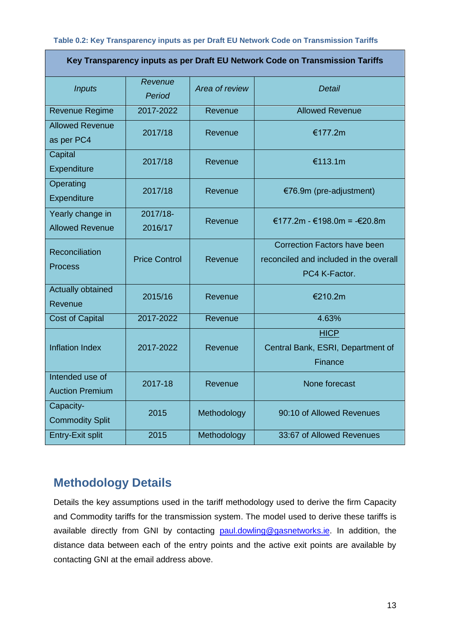#### **Table 0.2: Key Transparency inputs as per Draft EU Network Code on Transmission Tariffs**

| Key Transparency inputs as per Draft EU Network Code on Transmission Tariffs |                      |                |                                                                                                |  |
|------------------------------------------------------------------------------|----------------------|----------------|------------------------------------------------------------------------------------------------|--|
| <b>Inputs</b>                                                                | Revenue<br>Period    | Area of review | Detail                                                                                         |  |
| <b>Revenue Regime</b>                                                        | 2017-2022            | Revenue        | <b>Allowed Revenue</b>                                                                         |  |
| <b>Allowed Revenue</b><br>as per PC4                                         | 2017/18              | Revenue        | €177.2m                                                                                        |  |
| Capital<br>Expenditure                                                       | 2017/18              | Revenue        | €113.1m                                                                                        |  |
| Operating<br>Expenditure                                                     | 2017/18              | Revenue        | €76.9m (pre-adjustment)                                                                        |  |
| Yearly change in<br><b>Allowed Revenue</b>                                   | 2017/18-<br>2016/17  | Revenue        | €177.2m - €198.0m = -€20.8m                                                                    |  |
| Reconciliation<br>Process                                                    | <b>Price Control</b> | Revenue        | <b>Correction Factors have been</b><br>reconciled and included in the overall<br>PC4 K-Factor. |  |
| Actually obtained<br>Revenue                                                 | 2015/16              | Revenue        | €210.2m                                                                                        |  |
| <b>Cost of Capital</b>                                                       | 2017-2022            | Revenue        | 4.63%                                                                                          |  |
| <b>Inflation Index</b>                                                       | 2017-2022            | Revenue        | <b>HICP</b><br>Central Bank, ESRI, Department of<br>Finance                                    |  |
| Intended use of<br><b>Auction Premium</b>                                    | 2017-18              | Revenue        | None forecast                                                                                  |  |
| Capacity-<br><b>Commodity Split</b>                                          | 2015                 | Methodology    | 90:10 of Allowed Revenues                                                                      |  |
| <b>Entry-Exit split</b>                                                      | 2015                 | Methodology    | 33:67 of Allowed Revenues                                                                      |  |

### <span id="page-13-0"></span>**Methodology Details**

Details the key assumptions used in the tariff methodology used to derive the firm Capacity and Commodity tariffs for the transmission system. The model used to derive these tariffs is available directly from GNI by contacting [paul.dowling@gasnetworks.ie.](mailto:paul.dowling@gasnetworks.ie) In addition, the distance data between each of the entry points and the active exit points are available by contacting GNI at the email address above.